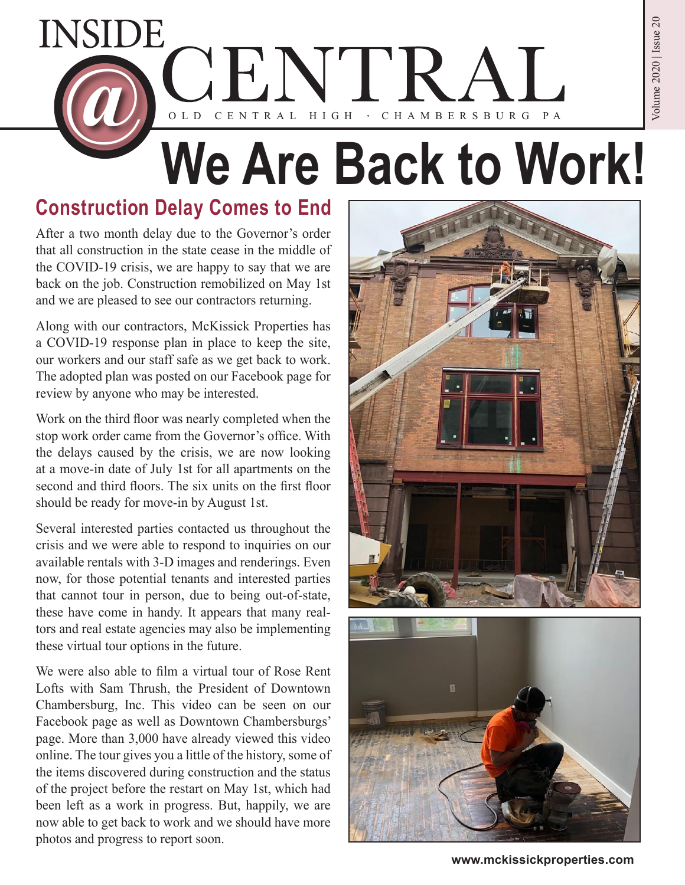

# **We Are Back to Work!**

## **Construction Delay Comes to End**

After a two month delay due to the Governor's order that all construction in the state cease in the middle of the COVID-19 crisis, we are happy to say that we are back on the job. Construction remobilized on May 1st and we are pleased to see our contractors returning.

Along with our contractors, McKissick Properties has a COVID-19 response plan in place to keep the site, our workers and our staff safe as we get back to work. The adopted plan was posted on our Facebook page for review by anyone who may be interested.

Work on the third floor was nearly completed when the stop work order came from the Governor's office. With the delays caused by the crisis, we are now looking at a move-in date of July 1st for all apartments on the second and third floors. The six units on the first floor should be ready for move-in by August 1st.

Several interested parties contacted us throughout the crisis and we were able to respond to inquiries on our available rentals with 3-D images and renderings. Even now, for those potential tenants and interested parties that cannot tour in person, due to being out-of-state, these have come in handy. It appears that many realtors and real estate agencies may also be implementing these virtual tour options in the future.

We were also able to film a virtual tour of Rose Rent Lofts with Sam Thrush, the President of Downtown Chambersburg, Inc. This video can be seen on our Facebook page as well as Downtown Chambersburgs' page. More than 3,000 have already viewed this video online. The tour gives you a little of the history, some of the items discovered during construction and the status of the project before the restart on May 1st, which had been left as a work in progress. But, happily, we are now able to get back to work and we should have more photos and progress to report soon.





**www.mckissickproperties.com**